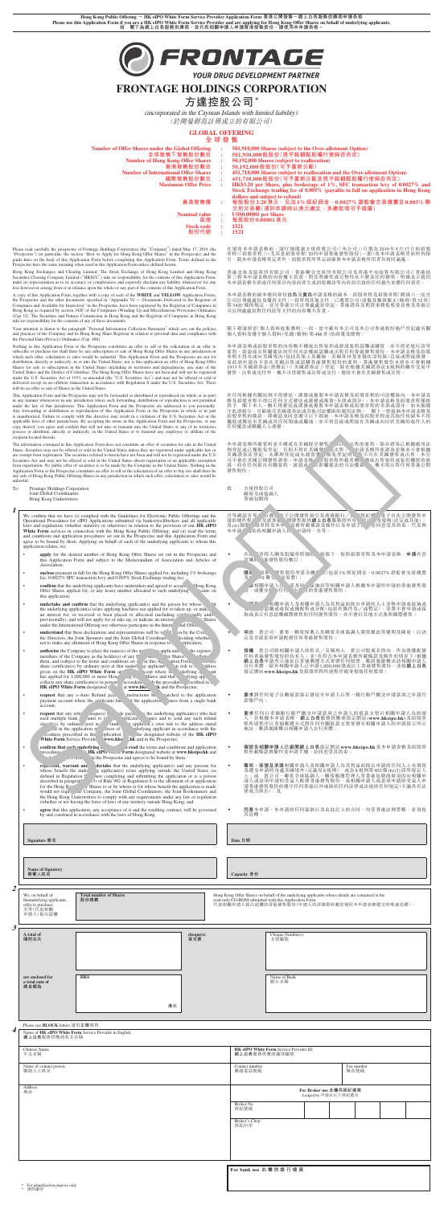**Hong Kong Public Offering - HK eIPO White Form Service Provider Application Form 香港公開發售-網上白表服務供應商申請表格 Please use this Application Form if you are a HK eIPO White Form Service Provider and are applying for Hong Kong Offer Shares on behalf of underlying applicants. 倘 閣下為網上白表服務供應商,並代表相關申請人申請香港發售股份,請使用本申請表格。**



YOUR DRUG DEVELOPMENT PARTNER

# **FRONTAGE HOLDINGS CORPORATION**

# **方達控股公司\***

(incorporated in the Cayman Islands with limited liability) (於開曼群島註冊成立的有限公司)

**GLOBAL OFFERING**

**全球發售**

本申請表格的副本連同各份**白色**及黃色申請表格的副本、招股章程及招股章程「附錄六一送呈 公司註冊處處長及備查文件」一段所列其他文件,已遵照公司(清盤及雜項條文)條例(第32章) 第342C條的規定,送呈香港公司註冊處處長登記。香港證券及期貨事務監察委員會及香港公 司註冊處處長對任何此等文件的內容概不負責。

閣下敬請留意「個人資料收集聲明」一段,當中載有本公司及本公司香港股份過戶登記處有關<br>個人資料及遵守個人資料(私隱)條例(第486章)的政策及慣例。

本申請表格或招股章程的內容概不構成出售要約或游説要約認購或購買,亦不得於進行該等。<br>要約、游説或出售屬違法的任何司法權區認購或出售任何香港發售股份。本申請表格及招股<br>章程不得在或向美國境內(包括其領土及屬地、美國各州及哥倫比亞特區)直接或間接派發展<br>而此項申請亦不是在美國出售或認購香港發售股份的要約。香港發售股份未曾亦不會根據<br>1933年美国設交付外,概不可供發售或出售或交付。股份不會在美國證售或出售。<br>發售、出售或交付外,概不可供發售或

|                                                                                                                                                                                   | ----- |                                                                                                                                     |
|-----------------------------------------------------------------------------------------------------------------------------------------------------------------------------------|-------|-------------------------------------------------------------------------------------------------------------------------------------|
| <b>Number of Offer Shares under the Global Offering</b>                                                                                                                           |       | 501,910,000 Shares (subject to the Over-allotment Option)                                                                           |
| 全球發售下發售股份數目                                                                                                                                                                       |       | 501,910,000股股份(視乎超額配股權行使與否而定)                                                                                                       |
| <b>Number of Hong Kong Offer Shares</b>                                                                                                                                           |       | 50,192,000 Shares (subject to reallocation)                                                                                         |
| 香港發售股份數目                                                                                                                                                                          | ÷     | 50,192,000股股份(可予重新分配)                                                                                                               |
| <b>Number of International Offer Shares</b>                                                                                                                                       |       | 451,718,000 Shares (subject to reallocation and the Over-allotment Option)                                                          |
| 國際發售股份數目                                                                                                                                                                          | ÷     | 451,718,000股股份(可予重新分配及視乎超額配股權行使與否而定)                                                                                                |
| <b>Maximum Offer Price</b>                                                                                                                                                        | ÷     | HK\$3.20 per Share, plus brokerage of 1%, SFC transaction levy of 0.0027% and                                                       |
|                                                                                                                                                                                   |       | Stock Exchange trading fee of 0.005% (payable in full on application in Hong Kong                                                   |
|                                                                                                                                                                                   |       | dollars and subject to refund)                                                                                                      |
| 最高發售價                                                                                                                                                                             | ÷     | 每股股份3.20港元,另加1%經紀佣金、0.0027%證監會交易徵費及0.005%聯                                                                                          |
|                                                                                                                                                                                   |       | 交所交易費(須於申請時以港元繳足,多繳款項可予退還)                                                                                                          |
| <b>Nominal value</b>                                                                                                                                                              | ÷     | US\$0.00001 per Share                                                                                                               |
| 面值                                                                                                                                                                                | ÷     | 每股股份0.00001美元                                                                                                                       |
| <b>Stock code</b>                                                                                                                                                                 | ÷     | 1521                                                                                                                                |
| 股份代號                                                                                                                                                                              | ÷     | 1521                                                                                                                                |
|                                                                                                                                                                                   |       |                                                                                                                                     |
|                                                                                                                                                                                   |       |                                                                                                                                     |
| tage Holdings Corporation (the "Company") dated May 17, 2019 (the<br>$\sim$ 4. A subset of H $\sim$ H $\sim$ $\sim$ H $\sim$ $\sim$ Office Observed to the December of the latter |       | 在填寫本申請表格前,請仔細閲讀方達控股公司(「本公司」)日期為2019年5月17日的招股<br><b>立印 / 「初肌立印 I\ / おせ 日初肌立印 「布左市許手迷 ※ 母肌 //\ 」 め \ Ⅱ よ 市 注 去 あ 北 云 fi( fi) il</b> k |

在任何根據有關法例不得發送、派發或複製本申請表格及招股章程的司法權區內,本申請表<br>格及招股章程不得以任何方式發送或派發或複製(全部或部分)。本申請表格及招股章程僅堪要<br>供予 閣下本人。概不得發送或派發或複製本申請表格或招股章程的全部或部分。如未能遵<br>守此項指令,可能違反美國證券法或其他司法權區的適用法例。 閣下一經接納本申請表格及<br>招取項指令,可能違反美國證券法或其他司法權區的適用法例。 閣下一經接納本申請表格及<br>攜進或傳送至美國或 任何僱員或聯屬人士派發。

本申請表格所載資料並不構成在美國提呈發售證券以供出售的要約。除非證券已根據適用法<br>例登記或已獲豁免登記,不則不得在美國發售或出售。本申請表格所述證券並無亦不會根據<br>美國證券法營記,未辦理登記或未適當獲得豁免登記的證券不可在美國發售或出售買的游<br>司不會在美國公開發售證券。申請表格或招股章程所載者概不補成出售要約或要約購買的諮<br>說,而在任何提出有關要約、游說或出售即屬建法的司法權區內,概不得出售任何香港公開 發售股份。

章程(「招股章程」)(尤其是招股章程「如何申請香港發售股份」一節)及本申請表格背面所列指 引。除本申請表格界定者外,招股章程所界定詞彙與本申請表格所用者具相同涵義。

香港交易及結算所有限公司、香港聯合交易所有限公司及香港中央結算有限公司(「香港結<br>算」)對本申請表格的內容概不負責,對其準確性或完整性亦不發表任何擅明,明確表示擔<br>本申請表格全部或任何部分內容而產生或因依賴該等內容而引致的任何損失承擔任何責任。

Please read carefully the prospectus of Frontage Holdings Corporation (the "Company") dated May 17, 2019 (the<br>"Prospectus") (in particular, the section "How to Apply for Hong Kong Offer Shares" in the Prospectus) and the<br>g Prospectus have the same meaning when used in this Application Form unless defined herein.

Hong Kong Exchanges and Clearing Limited, The Stock Exchange of Hong Kong Limited and Hong Kong<br>Securities Clearing Company Limited ("HKSCC") take no responsibility for the contents of this Application Form,<br>make no repres

A copy of this Application Form, together with a copy of each of the **WHITE** and **YELLOW** Application Forms, the Prospectius and the other documents specified in "Appendix VI — Documents Schief Companies and Available for

Nothing in this Application Form or the Prospectus constitutes an offer to sell or the solicitation of an offer to subscribe or purchase nor shall there be any subscription or sale of Hong Kong Offer Shares in any jurisdiction in<br>which such offer, solicitation or sales would be unlawful. This Application From and the Prospectus are not Shares for sale or subscription in the United States (including its territories and dependencies, any state of the<br>United States and the District of Columbia). The Hong Kong Offer Shares have not been and will not be regis delivered except in an offshore transaction in accordance with Regulation S under the U.S. Securities Act. There will be no offer or sale of Shares in the United States.

- **apply** for the desired number of Hong Kong Offer Shares set out in the Prospectus and this Application Form and subject to the Memorandum of Association and Articles of Association;
- **enclose** payment in full for the Hong Kong Offer Shares applied for, including 1% brokerage fee, 0.0027% SFC transaction levy and 0.005% Stock Exchange trading fee;
- **confirm** that the underlying applicants have undertaken and agreed to accept the Kong Offer Shares applied for, or any lesser number allocated to such underlying  $a_1$  ts on this application;
- **undertake and confirm** that the underlying applicant(s) and the person for whose benthe underlying applicant(s) is/are applying has/have not applied for or taken up, or indicated an interest for, or received or been placed or allocated (including conditionally) and/o<sub>1</sub> provisionally), and will not apply for or take up, or indicate an interest for,  $\sim$ Shares under the International Offering nor o
- **understand** that these declarations and representations will be relied  $\sim$  by the C<sub>v</sub> the Directors, the Joint Sponsors and the Joint Global Coordinato<sup>-</sup> ciding wheth not to make any allotment of Hong Kong Offer Shares
- **authorize** the Company to place the name(s) of the underlying applicant(s, and company as the holder(s) of any Hong the Shares in the term and conditions set out in the share certificate(s) by ordinary post at that underl

Your attention is drawn to the paragraph "Personal Information Collection Statement" which sets out the policies and practices of the Company and its Hong Kong Share Registrar in relation to personal data and compliance with the Personal Data (Privacy) Ordinance (Cap. 486).

This Application Form and the Prospectus may not be forwarded or distributed or reproduced (in whole or in part) in any manner whatsoever in any jurisdiction where such forwarding, distribution or reproduction is not permitted under the law of that jurisdiction. This Application Form and the Prospectus are addressed to you personally. Any forwarding or distribution or reproduction of this Application Form or the Prospectus in whole or in part<br>is unauthorized. Failure to comply with this directive may result in a violation of the U.S. Securities Act or t possess or distribute, directly or indirectly, in the United States or to transmit any employee or affiliate of the recipient located therein.

- ‧ 在組織章程大綱及組織章程細則的規限下,按照招股章程及本申請表格,**申請**有意 認購的香港發售股份數目;
- **簡請香港發售股份所需全數股款**(包括1%經紀佣金、0.0027%證監會交易徵費<br>※ ※聯交所交易費);
- **→ 確"。相關申請人已承諾及同意接納該等相關申請人根據本申請所申請的香港發售股**<br>◆ → 交換分 ?的任何較少數目的香港發售股份;
- ‧ **承諾及確認**相關申請人及相關申請人為其利益而提出申請的人士並無申請或接納或 表示有意認購或收取或獲配售或分配(包括有條件及╱或暫定),並將不會申請或接 納或表示有意認購國際發售的任何發售股份,亦不會以其他方式參與國際發售;
	- **明白** 貴公司、董事、聯席保薦人及聯席全球協調人將依賴此等聲明及陳述,以決 定是否就是項申請配發任何香港發售股份;
- **授權** 貴公司將相關申請人的姓名/名稱列入 貴公司股東名冊內,作為將獲配發<br>任何香港發售股份的持有人,並化在符合本申請表格所載條款及條件的情況下)根據<br>網上自表申請所示地址以普通郵鑑方式寄發任何股票;郵誤風險概由該相關申請人<br>自行承擔;除非相關申請人已申請1,000,000股或以上香港發售股份,並按**網上白表**

| unlawful. | are exempt from registration. The securities referred to herein have not been and will not be registered under the U.S.<br>Securities Act and may not be offered or sold in the United States absent registration or an applicable exemption<br>from registration. No public offer of securities is to be made by the Company in the United States. Nothing in the<br>Application Form or the Prospectus constitutes an offer to sell or the solicitation of an offer to buy nor shall there be<br>any sale of Hong Kong Public Offering Shares in any jurisdiction in which such offer, solicitation or sales would be                                                                                                                   |                                               | 美國證券法登記,未辦理登記或未適當獲得豁免登記的證券不可在美國發售或出<br>司不會在美國公開發售證券。申請表格或招股章程所載者概不構成出售要約或要約購買的游<br>説,而在任何提出有關要約、游説或出售即屬違法的司法權區內,概不得出售任何香港公開<br>發售股份。                                                                                    |  |
|-----------|-------------------------------------------------------------------------------------------------------------------------------------------------------------------------------------------------------------------------------------------------------------------------------------------------------------------------------------------------------------------------------------------------------------------------------------------------------------------------------------------------------------------------------------------------------------------------------------------------------------------------------------------------------------------------------------------------------------------------------------------|-----------------------------------------------|-------------------------------------------------------------------------------------------------------------------------------------------------------------------------------------------------------------------------|--|
| To:       | Frontage Holdings Corporation<br>Joint Global Coordinators<br>Hong Kong Underwriters                                                                                                                                                                                                                                                                                                                                                                                                                                                                                                                                                                                                                                                      | 致 :                                           | 方達控股公司<br>聯席全球協調人<br>香港包銷商                                                                                                                                                                                              |  |
| 1         | We confirm that we have (i) complied with the Guidelines for Electronic Public Offerings and the<br>Operational Procedures for eIPO Applications submitted via banks/stockbrokers and all applicable<br>laws and regulations (whether statutory or otherwise) in relation to the provision of our <b>HK eIPO</b><br>White Form services in connection with the Hong Kong Public Offering; and (ii) read the terms<br>and conditions and application procedures set out in the Prospectus and this Application Form and<br>agree to be bound by them. Applying on behalf of each of the underlying applicants to whom this<br>application relates, we:                                                                                     |                                               | 吾等確認吾等已(i)遵照電子公開發售指引及透過銀行/股票經紀遞交電子首次公開發售申<br>請的運作程序以及就香港公開發售提供網上白表服務的所有適用法例及規例(法定或其他);<br>及(ii)細関招股章程及本申請表格所載條款及條件以及申請手續,並同意受其約束。代表與<br>本申請有關的各相關申請人作出申請時,吾等:                                                           |  |
|           | apply for the desired number of Hong Kong Offer Shares set out in the Prospectus and<br>this Application Form and subject to the Memorandum of Association and Articles of<br>Association;                                                                                                                                                                                                                                                                                                                                                                                                                                                                                                                                                |                                               | 在組織章程大綱及組織章程細則的規限下,按照招股章程及本申請表格,申請有意<br>認購的香港發售股份數目;                                                                                                                                                                    |  |
|           | enclose payment in full for the Hong Kong Offer Shares applied for, including 1% brokerage<br>fee, 0.0027% SFC transaction levy and 0.005% Stock Exchange trading fee;<br>confirm that the underlying applicants have undertaken and agreed to accer<br>g Kong<br>Offer Shares applied for, or any lesser number allocated to such underlying $a_i$<br><sup>t</sup> s on                                                                                                                                                                                                                                                                                                                                                                  |                                               | 电請香港發售股份所需全數股款(包括1%經紀佣金、0.0027%證監會交易徵費<br>》%聯交所交易費);<br>確,相關申請人已承諾及同意接納該等相關申請人根據本申請所申請的香港發售股<br>或獲分 飞的任何較少數目的香港發售股份;                                                                                                    |  |
|           | this application;<br><b>undertake and confirm</b> that the underlying applicant(s) and the person for whose $\mathbf{b}$ ,<br>the underlying applicant(s) is/are applying has/have not applied for or taken up, or indical<br>an interest for, or received or been placed or allocated (including conditionally and/or<br>provisionally), and will not apply for or take up, or indicate an interest for,<br>" Shares                                                                                                                                                                                                                                                                                                                     |                                               | *B確* 相關申請人及相關申請人為其利益而提出申請的人士並無申請或接納或<br>認購或收取或獲配售或分配(包括有條件及/或暫定),並將不會申請或接<br>納或表示有意認購國際發售的任何發售股份, 亦不會以其他方式參與國際發售;                                                                                                       |  |
|           | under the International Offering nor otherwise participate in the Internatio<br>understand that these declarations and representations will be relied<br>by the $Co$ .<br>the Directors, the Joint Sponsors and the Joint Global Coordinator<br>ciding wheth.<br>not to make any allotment of Hong Kong Offer Shares in response to u<br>lication;                                                                                                                                                                                                                                                                                                                                                                                        |                                               | 貴公司、董事、聯席保薦人及聯席全球協調人將依賴此等聲明及陳述,以決<br>明白<br>定是否就是項申請配發任何香港發售股份;                                                                                                                                                          |  |
|           | <b>authorize</b> the Company to place the name(s) of the underlying applicant(s)<br>register o<br>members of the Company as the holder(s) of any Hong<br>"lotted<br><sup>ef</sup> er Shares.<br>them, and (subject to the terms and conditions set out june<br>ation Form,<br>$4$ any<br>share certificate(s) by ordinary post at that underlyin applica.<br>n risk to the<br>ess<br>given on the HK eIPO White Form application<br>ept where<br>derlying $a_{\mu}$<br>has applied for 1,000,000 or more Hong Ko<br>hares and the<br>rlving app.<br>collects any share certificate(s) in person in a cordan.<br>scribed in u<br>the procedu<br>HK eIPO White Form designated websith a<br>and the $Pr$ pectus;<br>www.hk.                 |                                               | 貴公司將相關申請人的姓名/名稱列入 貴公司股東名冊內,作為將獲配發<br>授權<br>任何香港發售股份的持有人,並(在符合本申請表格所載條款及條件的情況下)根據<br>網上白表申請所示地址以普通郵遞方式寄發任何股票,郵誤風險概由該相關申請人<br>自行承擔,除非相關申請人已申請1,000,000股或以上香港發售股份,並按網上白表<br>指定網站 www.hkeipo.hk 及招股章程所述程序親身領取任何股票;          |  |
|           | tched to the application<br><b>request</b> that any e-Auto Refund $p_{\text{max}}$<br>structions b.<br>payment account where the applicants had<br>he application<br>all also from a single bank<br>account;                                                                                                                                                                                                                                                                                                                                                                                                                                                                                                                              |                                               | 要求將任何電子自動退款指示發送至申請人以單一銀行賬戶繳交申請款項之申請付<br>款賬戶內;                                                                                                                                                                           |  |
|           | be underlying applicant(s) who had<br><b>request</b> that any refund $c^{\mu}$<br>made paya.<br>es and to send any such refund<br>used multiple bank acc nts to<br>application.<br>ving applic a's own risk to the address stated<br>cheque by ordinary it at the<br>underlying applicant in accordance with the<br>he applica<br>instru ion<br>ocedures prescribed in this A lication.<br>the designated website of the HK eIPO<br>White Form Service Provider a<br>ww.hkei  is and in the Prospectus;                                                                                                                                                                                                                                   |                                               | 要求任何以多個銀行賬戶繳交申請款項之申請人的退款支票以相關申請人為抬頭<br>人,並根據本申請表格、網上白表服務供應商指定網站(www.hkeipo.hk)及招股章<br>程所述程序以普通郵遞方式將任何有關退款支票寄發至相關申請人的申請指示所示<br>地址,郵誤風險概由相關申請人自行承擔;                                                                       |  |
|           | confirm that each underlying<br>"*" is read the terms and conditions and application<br>Form designated website at www.hkeipo.hk and<br>meedures<br>∑eIF⊾<br>he Prospectus and agrees to be bound by them;                                                                                                                                                                                                                                                                                                                                                                                                                                                                                                                                |                                               | 確認各相關申請人已細閲網上白表指定網站 www.hkeipo.hk及本申請表格及招股章<br>程所載條款與條件及申請手續,並同意受其約束;                                                                                                                                                   |  |
|           | ertake that the underlying applicant(s) and any persons for<br>represent, warrant and<br>whose benefit the underly applicant(s) is/are applying outside the United States (as<br>defined in Regulation S), are completing and submitting the application or is a person<br>described in paragraph $\binom{1}{3}$ of Rule 902 of Regulation S or the allotment of or application<br>Shares to or by whom or for whose benefit the application is made<br>for the Hoi.<br>would not rec, are Company, the Joint Global Coordinators, the Joint Bookrunners and<br>the Hong Kong Aderwriters to comply with any requirements under any law or regulation<br>(whether or not having the force of law) of any territory outside Hong Kong; and |                                               | 聲明、保證及承諾相關申請人及相關申請人為其利益而提出申請的任何人士在填寫<br>及遞交申請時身處美國境外(定義見S規例),或為S規例第902條(h)(3)段所規定人<br>士;或 貴公司、聯席全球協調人、聯席賬簿管理人及香港包銷商毋須因向相關申<br>請人或是項申請的受益人配發香港發售股份,或相關申請人或是項申請的受益人申<br>請香港發售股份而遵守任何香港以外地區的任何法律或法規的任何規定(不論具有法<br>律效力與否);及 |  |
|           | agree that this application, any acceptance of it and the resulting contract, will be governed<br>by and construed in accordance with the laws of Hong Kong.                                                                                                                                                                                                                                                                                                                                                                                                                                                                                                                                                                              |                                               | 同意本申請、本申請的任何接納以及由此訂立的合同,均受香港法例管轄,並須按<br>其詮釋。                                                                                                                                                                            |  |
|           | Signature 簽名                                                                                                                                                                                                                                                                                                                                                                                                                                                                                                                                                                                                                                                                                                                              |                                               | Date 日期                                                                                                                                                                                                                 |  |
|           | <b>Name of Signatory</b><br>簽署人姓名                                                                                                                                                                                                                                                                                                                                                                                                                                                                                                                                                                                                                                                                                                         | Capacity 身份                                   |                                                                                                                                                                                                                         |  |
| 2         | We, on behalf of<br><b>Total number of Shares</b><br>theunderlying applicants,<br>股份總數<br>offer to purchase<br>吾等(代表相關<br>申請人)提出認購                                                                                                                                                                                                                                                                                                                                                                                                                                                                                                                                                                                                        |                                               | Hong Kong Offer Shares on behalf of the underlying applicants whose details are contained in the<br>read-only CD-ROM submitted with this Application Form.<br>代表相關申請人提出認購的香港發售股份(申請人的詳細資料載於連同本申請表格遞交的唯讀光碟)。             |  |
| 3         | A total of<br>cheque(s)<br>隨附合共<br>張支票                                                                                                                                                                                                                                                                                                                                                                                                                                                                                                                                                                                                                                                                                                    |                                               | Cheque Number(s)<br>支票编號                                                                                                                                                                                                |  |
|           |                                                                                                                                                                                                                                                                                                                                                                                                                                                                                                                                                                                                                                                                                                                                           |                                               |                                                                                                                                                                                                                         |  |
|           | are enclosed for<br><b>HK\$</b><br>a total sum of                                                                                                                                                                                                                                                                                                                                                                                                                                                                                                                                                                                                                                                                                         |                                               | Name of Bank<br>銀行名稱                                                                                                                                                                                                    |  |
|           | 總金額為                                                                                                                                                                                                                                                                                                                                                                                                                                                                                                                                                                                                                                                                                                                                      |                                               |                                                                                                                                                                                                                         |  |
|           | 港元                                                                                                                                                                                                                                                                                                                                                                                                                                                                                                                                                                                                                                                                                                                                        |                                               |                                                                                                                                                                                                                         |  |
| 4         | Please use <b>BLOCK</b> letters 請用正楷填寫<br>Name of HK eIPO White Form Service Provider in English<br>網上白表服務供應商英文名稱                                                                                                                                                                                                                                                                                                                                                                                                                                                                                                                                                                                                                         |                                               |                                                                                                                                                                                                                         |  |
|           | Chinese Name<br>中文名稱                                                                                                                                                                                                                                                                                                                                                                                                                                                                                                                                                                                                                                                                                                                      |                                               | HK eIPO White Form Service Provider ID<br>網上白表服務供應商識別編號                                                                                                                                                                 |  |
|           | Name of contact person<br>聯絡人士姓名                                                                                                                                                                                                                                                                                                                                                                                                                                                                                                                                                                                                                                                                                                          |                                               | Contact number<br>Fax number<br>聯絡電話號碼<br>傳真號碼                                                                                                                                                                          |  |
|           | Address<br>地址                                                                                                                                                                                                                                                                                                                                                                                                                                                                                                                                                                                                                                                                                                                             | For Broker use 此欄供經紀填寫<br>Lodged by 申請由以下經紀遞交 |                                                                                                                                                                                                                         |  |
|           |                                                                                                                                                                                                                                                                                                                                                                                                                                                                                                                                                                                                                                                                                                                                           |                                               | Broker No.<br>經紀號碼                                                                                                                                                                                                      |  |
|           |                                                                                                                                                                                                                                                                                                                                                                                                                                                                                                                                                                                                                                                                                                                                           |                                               | Broker's Chop<br>經紀印章                                                                                                                                                                                                   |  |
|           |                                                                                                                                                                                                                                                                                                                                                                                                                                                                                                                                                                                                                                                                                                                                           |                                               |                                                                                                                                                                                                                         |  |
|           | * For identification purpose only<br>僅供識別                                                                                                                                                                                                                                                                                                                                                                                                                                                                                                                                                                                                                                                                                                 |                                               | For bank use 此 欄 供 銀 行 填 寫                                                                                                                                                                                              |  |

The information contained in this Application Form does not constitute an offer of securities for sale in the United States. Securities may not be offered or sold in the United States unless they are registered under applicable law or<br>are exempt from registration. The securities referred to herein have not been and will not be registered Securities Act and may not be offered or sold in the United States absent registration or an applicable exemption from registration. No public offer of securities is to be made by the Company in the United States. Nothing in the<br>Application Form or the Prospectus constitutes an offer to sell or the solicitation of an offer to buy nor any sale of Hong Kong Public Offering Shares in any jurisdiction in which such offer, solicitation or sales would be unlawful.

**1**